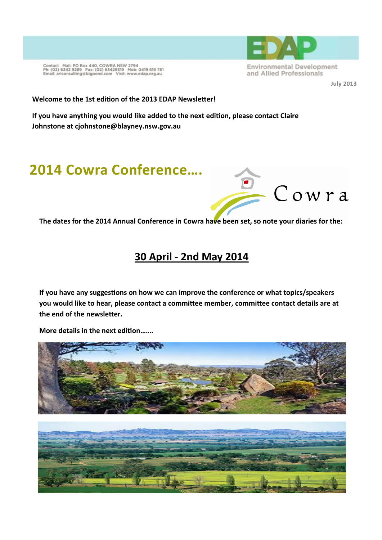

**July 2013** 

Contact Mail: PO Box 440, COWRA NSW 2794<br>Ph: (02) 6342 9289 Fax: (02) 63429319 Mob: 0419 619 761<br>Email: arlconsulting@bigpond.com Visit: www.edap.org.au

#### **Welcome to the 1st edition of the 2013 EDAP Newsletter!**

**If you have anything you would like added to the next edition, please contact Claire Johnstone at cjohnstone@blayney.nsw.gov.au** 

## **2014 Cowra Conference….**



**The dates for the 2014 Annual Conference in Cowra have been set, so note your diaries for the:** 

## **30 April - 2nd May 2014**

**If you have any suggestions on how we can improve the conference or what topics/speakers you would like to hear, please contact a committee member, committee contact details are at the end of the newsletter.** 

**More details in the next edition…….** 

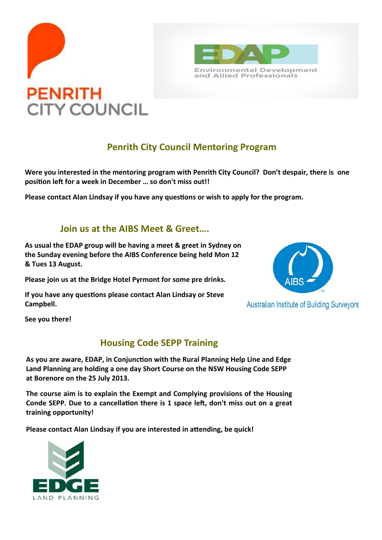



### **Penrith City Council Mentoring Program**

**Were you interested in the mentoring program with Penrith City Council? Don't despair, there is one position left for a week in December … so don't miss out!!** 

**Please contact Alan Lindsay if you have any questions or wish to apply for the program.** 

#### **Join us at the AIBS Meet & Greet….**

**As usual the EDAP group will be having a meet & greet in Sydney on the Sunday evening before the AIBS Conference being held Mon 12 & Tues 13 August.**

**Please join us at the Bridge Hotel Pyrmont for some pre drinks.** 

**If you have any questions please contact Alan Lindsay or Steve Campbell.** 



**Australian Institute of Building Surveyors** 

**See you there!** 

#### **Housing Code SEPP Training**

**As you are aware, EDAP, in Conjunction with the Rural Planning Help Line and Edge Land Planning are holding a one day Short Course on the NSW Housing Code SEPP at Borenore on the 25 July 2013.** 

**The course aim is to explain the Exempt and Complying provisions of the Housing Conde SEPP. Due to a cancellation there is 1 space left, don't miss out on a great training opportunity!** 

**Please contact Alan Lindsay if you are interested in attending, be quick!** 

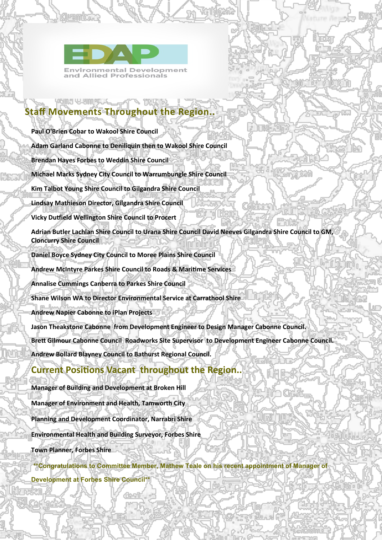

Juambone

## **Staff Movements Throughout the Region..**

**Paul O'Brien Cobar to Wakool Shire Council Adam Garland Cabonne to Deniliquin then to Wakool Shire Council Brendan Hayes Forbes to Weddin Shire Council Michael Marks Sydney City Council to Warrumbungle Shire Council Kim Talbot Young Shire Council to Gilgandra Shire Council Lindsay Mathieson Director, Gilgandra Shire Council Vicky Dutfield Wellington Shire Council to Procert Adrian Butler Lachlan Shire Council to Urana Shire Council David Neeves Gilgandra Shire Council to GM, Cloncurry Shire Council Daniel Boyce Sydney City Council to Moree Plains Shire Council Andrew McIntyre Parkes Shire Council to Roads & Maritime Services Annalise Cummings Canberra to Parkes Shire Council Shane Wilson WA to Director Environmental Service at Carrathool Shire Andrew Napier Cabonne to iPlan Projects Jason Theakstone Cabonne from Development Engineer to Design Manager Cabonne Council. Brett Gilmour Cabonne Council Roadworks Site Supervisor to Development Engineer Cabonne Council. Andrew Bollard Blayney Council to Bathurst Regional Council.** 

Karacime

#### **Current Positions Vacant throughout the Region..**

**Manager of Building and Development at Broken Hill Manager of Environment and Health, Tamworth City Planning and Development Coordinator, Narrabri Shire Environmental Health and Building Surveyor, Forbes Shire Town Planner, Forbes Shire** 

a riko aby

**\*\*Congratulations to Committee Member, Mathew Teale on his recent appointment of Manager of Development at Forbes Shire Council\*\*** 

омга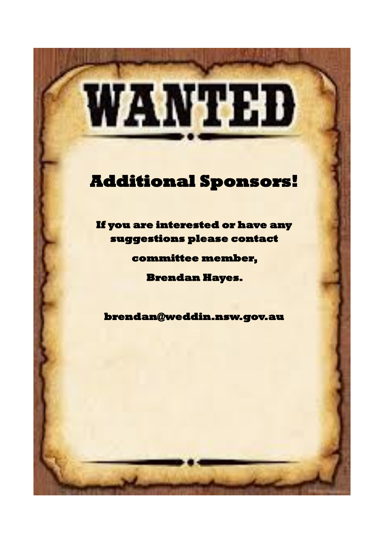# WANTED

# **[Additional Sponsors!](http://www.google.com.au/url?sa=i&rct=j&q=Wanted+Poster&source=images&cd=&cad=rja&docid=JLo9FYAPLna21M&tbnid=OmgmekwsKdt45M:&ved=0CAUQjRw&url=%2Furl%3Fsa%3Di%26rct%3Dj%26q%3DWanted%2BPoster%26source%3Dimages%26cd%3D%26docid%3DJLo9FYAPLna21M%26tbnid%3DOmg)**

**If you are interested or have any suggestions please contact** 

**committee member,** 

**Brendan Hayes.** 

**brendan@weddin.nsw.gov.au**